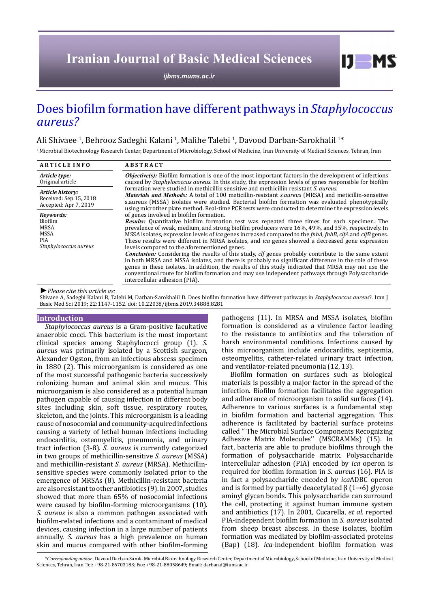# **Iranian Journal of Basic Medical Sciences**

*[ijbms.mums.ac.ir](http://ijbms.mums.ac.ir)*

## Does biofilm formation have different pathways in *Staphylococcus aureus?*

## Ali Shivaee <sup>1</sup>, Behrooz Sadeghi Kalani <sup>1</sup>, Malihe Talebi <sup>1</sup>, Davood Darban-Sarokhalil <sup>1\*</sup>

<sup>1</sup> Microbial Biotechnology Research Center, Department of Microbiology, School of Medicine, Iran University of Medical Sciences, Tehran, Iran

| <b>ARTICLE INFO</b>                                                                | <b>ABSTRACT</b>                                                                                                                                                                                                                                                                                                                                                                                                                                                                                                                                                                                                                                                                                                                                                                                                                                                                                                                                                                                                                  |  |  |  |  |
|------------------------------------------------------------------------------------|----------------------------------------------------------------------------------------------------------------------------------------------------------------------------------------------------------------------------------------------------------------------------------------------------------------------------------------------------------------------------------------------------------------------------------------------------------------------------------------------------------------------------------------------------------------------------------------------------------------------------------------------------------------------------------------------------------------------------------------------------------------------------------------------------------------------------------------------------------------------------------------------------------------------------------------------------------------------------------------------------------------------------------|--|--|--|--|
| Article type:<br>Original article                                                  | <i>Objective(s)</i> : Biofilm formation is one of the most important factors in the development of infections<br>caused by <i>Staphylococcus aureus</i> . In this study, the expression levels of genes responsible for biofilm                                                                                                                                                                                                                                                                                                                                                                                                                                                                                                                                                                                                                                                                                                                                                                                                  |  |  |  |  |
| Article history:<br>Received: Sep 15, 2018<br>Accepted: Apr 7, 2019                | formation were studied in methicillin sensitive and methicillin resistant S, qureus.<br><i>Materials and Methods:</i> A total of 100 meticillin-resistant s <i>aureus</i> (MRSA) and meticillin-sensetive<br>s.aureus (MSSA) isolates were studied. Bacterial biofilm formation was evaluated phenotypically<br>using microtiter plate method. Real-time PCR tests were conducted to determine the expression levels                                                                                                                                                                                                                                                                                                                                                                                                                                                                                                                                                                                                             |  |  |  |  |
| Kevwords:<br><b>Biofilm</b><br><b>MRSA</b><br>MSSA<br>PIA<br>Staphylococcus aureus | of genes involved in biofilm formation.<br><b>Results:</b> Quantitative biofilm formation test was repeated three times for each specimen. The<br>prevalence of weak, medium, and strong biofilm producers were 16%, 49%, and 35%, respectively. In<br>MSSA isolates, expression levels of <i>ica</i> genes increased compared to the <i>fnbA</i> , <i>fnbB</i> , <i>clfA</i> and <i>clfB</i> genes.<br>These results were different in MRSA isolates, and <i>ica</i> genes showed a decreased gene expression<br>levels compared to the aforementioned genes.<br><b>Conclusion:</b> Considering the results of this study, clf genes probably contribute to the same extent<br>in both MRSA and MSSA isolates, and there is probably no significant difference in the role of these<br>genes in these isolates. In addition, the results of this study indicated that MRSA may not use the<br>conventional route for biofilm formation and may use independent pathways through Polysaccharide<br>intercellular adhesion (PIA). |  |  |  |  |

*►Please cite this article as:*

Shivaee A, Sadeghi Kalani B, Talebi M, Darban-Sarokhalil D. Does biofilm formation have different pathways in *Staphylococcus aureus*?. Iran J Basic Med Sci 2019; 22:1147-1152. doi: 10.22038/ijbms.2019.34888.8281

#### **Introduction**

*Staphylococcus aureus* is a Gram-positive facultative anaerobic cocci. This bacterium is the most important clinical species among Staphylococci group (1). *S. aureus* was primarily isolated by a Scottish surgeon, Alexander Ogston, from an infectious abscess specimen in 1880 (2). This microorganism is considered as one of the most successful pathogenic bacteria successively colonizing human and animal skin and mucus. This microorganism is also considered as a potential human pathogen capable of causing infection in different body sites including skin, soft tissue, respiratory routes, skeleton, and the joints. This microorganism is a leading cause of nosocomial and community-acquired infections causing a variety of lethal human infections including endocarditis, osteomyelitis, pneumonia, and urinary tract infection (3-8). *S. aureus* is currently categorized in two groups of methicillin-sensitive *S. aureus* (MSSA) and methicillin-resistant *S. aureus* (MRSA). Methicillinsensitive species were commonly isolated prior to the emergence of MRSAs (8). Methicillin-resistant bacteria are also resistant to other antibiotics (9). In 2007, studies showed that more than 65% of nosocomial infections were caused by biofilm-forming microorganisms (10). *S. aureus* is also a common pathogen associated with biofilm-related infections and a contaminant of medical devices, causing infection in a large number of patients annually. *S. aureus* has a high prevalence on human skin and mucus compared with other biofilm-forming pathogens (11). In MRSA and MSSA isolates, biofilm formation is considered as a virulence factor leading to the resistance to antibiotics and the toleration of harsh environmental conditions. Infections caused by this microorganism include endocarditis, septicemia, osteomyelitis, catheter-related urinary tract infection, and ventilator-related pneumonia (12, 13).

 $IJ$  MS

Biofilm formation on surfaces such as biological materials is possibly a major factor in the spread of the infection. Biofilm formation facilitates the aggregation and adherence of microorganism to solid surfaces (14). Adherence to various surfaces is a fundamental step in biofilm formation and bacterial aggregation. This adherence is facilitated by bacterial surface proteins called '' The Microbial Surface Components Recognizing Adhesive Matrix Molecules'' (MSCRAMMs) (15). In fact, bacteria are able to produce biofilms through the formation of polysaccharide matrix. Polysaccharide intercellular adhesion (PIA) encoded by *ica* operon is required for biofilm formation in *S. aureus* (16). PIA is in fact a polysaccharide encoded by *ica*ADBC operon and is formed by partially deacetylated  $\beta$  (1→6) glycose aminyl glycan bonds. This polysaccharide can surround the cell, protecting it against human immune system and antibiotics (17). In 2001, Cucarella, *et al.* reported PIA-independent biofilm formation in *S. aureus* isolated from sheep breast abscess. In these isolates, biofilm formation was mediated by biofilm-associated proteins (Bap) (18). *ica*-independent biofilm formation was

 *\*Corresponding author:* Davood Darban-Sarok. Microbial Biotechnology Research Center, Department of Microbiology, School of Medicine, Iran University of Medical Sciences, Tehran, Iran. Tel: +98-21-86703183; Fax: +98-21-88058649; Email: darban.d@iums.ac.ir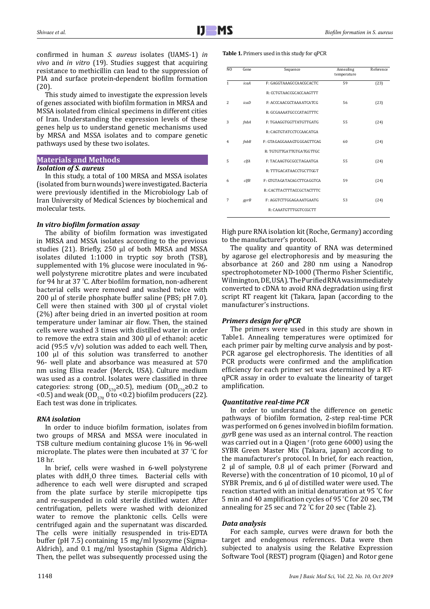confirmed in human *S. aureus* isolates (UAMS-1) *in vivo* and *in vitro* (19). Studies suggest that acquiring resistance to methicillin can lead to the suppression of PIA and surface protein-dependent biofilm formation (20).

This study aimed to investigate the expression levels of genes associated with biofilm formation in MRSA and MSSA isolated from clinical specimens in different cities of Iran. Understanding the expression levels of these genes help us to understand genetic mechanisms used by MRSA and MSSA isolates and to compare genetic pathways used by these two isolates.

## **Materials and Methods** *Isolation of S. aureus*

In this study, a total of 100 MRSA and MSSA isolates (isolated from burn wounds) were investigated. Bacteria were previously identified in the Microbiology Lab of Iran University of Medical Sciences by biochemical and molecular tests.

## *In vitro biofilm formation assay*

The ability of biofilm formation was investigated in MRSA and MSSA isolates according to the previous studies (21). Briefly, 250 μl of both MRSA and MSSA isolates diluted 1:1000 in tryptic soy broth (TSB), supplemented with 1% glucose were inoculated in 96 well polystyrene microtitre plates and were incubated for 94 hr at 37 º C. After biofilm formation, non-adherent bacterial cells were removed and washed twice with 200 μl of sterile phosphate buffer saline (PBS; pH 7.0). Cell were then stained with 300 μl of crystal violet (2%) after being dried in an inverted position at room temperature under laminar air flow. Then, the stained cells were washed 3 times with distilled water in order to remove the extra stain and 300 μl of ethanol: acetic acid (95:5  $v/v$ ) solution was added to each well. Then, 100 μl of this solution was transferred to another 96- well plate and absorbance was measured at 570 nm using Elisa reader (Merck, USA). Culture medium was used as a control. Isolates were classified in three categories: strong (OD<sub>570</sub>≥0.5), medium (OD<sub>570</sub>≥0.2 to <0.5) and weak  $(OD_{570} 0 \text{ to } 0.2)$  biofilm producers (22). Each test was done in triplicates.

## *RNA isolation*

In order to induce biofilm formation, isolates from two groups of MRSA and MSSA were inoculated in TSB culture medium containing glucose 1% in 96-well microplate. The plates were then incubated at 37 <sup>º</sup> C for 18 hr.

In brief, cells were washed in 6-well polystyrene plates with  $dH_2$ O three times. Bacterial cells with  $\frac{1}{2}$ adherence to each well were disrupted and scraped from the plate surface by sterile micropipette tips and re-suspended in cold sterile distilled water. After centrifugation, pellets were washed with deionized water to remove the planktonic cells. Cells were centrifuged again and the supernatant was discarded. The cells were initially resuspended in tris-EDTA buffer (pH 7.5) containing 15 mg/ml lysozyme (Sigma-Aldrich), and 0.1 mg/ml lysostaphin (Sigma Aldrich). Then, the pellet was subsequently processed using the

#### **Table 1.** Primers used in this study for qPCR

| N <sub>0</sub> | Gene        | Sequence                  | Annealing<br>temperature | Reference |  |
|----------------|-------------|---------------------------|--------------------------|-----------|--|
| 1              | icaA        | F: GAGGTAAAGCCAACGCACTC   | 59                       | (23)      |  |
|                |             | R: CCTGTAACCGCACCAAGTTT   |                          |           |  |
| 2              | icab        | F: ACCCAACGCTAAAATCATCG   | 56                       | (23)      |  |
|                |             | R: GCGAAAATGCCCATAGTTTC   |                          |           |  |
| 3              | fnbA        | F: TGAAGGTGGTTATGTTGATG   | 55                       | (24)      |  |
|                |             | R: CAGTGTATCCTCCAACATGA   |                          |           |  |
| 4              | $f$ n $b$ B | F: GTAGAGGAAAGTGGGAGTTCAG | 60                       | (24)      |  |
|                |             | R: TGTGTTGATTGTGATGGTTGC  |                          |           |  |
| 5              | clfA        | F: TACAAGTGCGCCTAGAATGA   | 55                       | (24)      |  |
|                |             | R: TTTGACATAACCTGCTTGGT   |                          |           |  |
| 6              | clfB        | F: GTGTAGATACAGCTTCAGGTCA | 59                       | (24)      |  |
|                |             | R: CACTTACTTTACCGCTACTTTC |                          |           |  |
| 7              | gyrB        | F: AGGTCTTGGAGAAATGAATG   | 53                       | (24)      |  |
|                |             | R: CAAATGTTTGGTCCGCTT     |                          |           |  |

High pure RNA isolation kit (Roche, Germany) according to the manufacturer's protocol.

The quality and quantity of RNA was determined by agarose gel electrophoresis and by measuring the absorbance at 260 and 280 nm using a Nanodrop spectrophotometer ND-1000 (Thermo Fisher Scientific, Wilmington, DE, USA). The Purified RNA was immediately converted to cDNA to avoid RNA degradation using first script RT reagent kit (Takara, Japan (according to the manufacturer's instructions.

## *Primers design for qPCR*

The primers were used in this study are shown in Table1. Annealing temperatures were optimized for each primer pair by melting curve analysis and by post-PCR agarose gel electrophoresis. The identities of all PCR products were confirmed and the amplification efficiency for each primer set was determined by a RTqPCR assay in order to evaluate the linearity of target amplification.

## *Quantitative real-time PCR*

In order to understand the difference on genetic pathways of biofilm formation, 2-step real-time PCR was performed on 6 genes involved in biofilm formation. *gyr*B gene was used as an internal control. The reaction was carried out in a Qiagen  $r$  (roto gene 6000) using the SYBR Green Master Mix (Takara, japan) according to the manufacturer's protocol. In brief, for each reaction, 2 µl of sample, 0.8 µl of each primer (Forward and Reverse) with the concentration of 10 picomol, 10 µl of SYBR Premix, and 6 µl of distilled water were used. The reaction started with an initial denaturation at 95 <sup>º</sup> C for 5 min and 40 amplification cycles of 95 <sup>º</sup> C for 20 sec, TM annealing for 25 sec and 72 º C for 20 sec (Table 2).

## *Data analysis*

For each sample, curves were drawn for both the target and endogenous references. Data were then subjected to analysis using the Relative Expression Software Tool (REST) program (Qiagen) and Rotor gene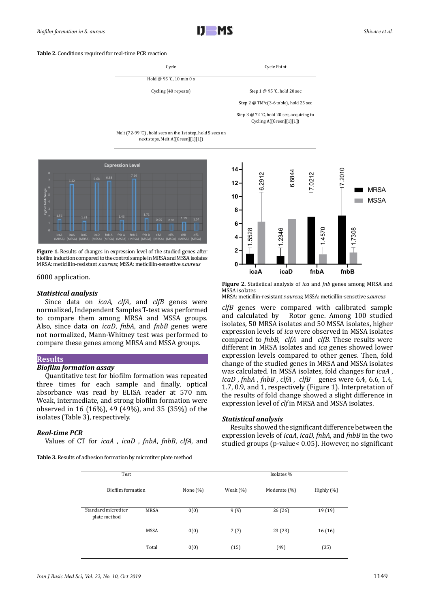#### **Table 2.** Conditions required for real-time PCR reaction



Step 3 @ 72 ° C, hold 20 sec, acquiring to Cycling A([Green][1][1])

Melt (72-99 ° C) , hold secs on the 1st step, hold 5 secs on next steps, Melt A([Green][1][1])



**Figure 1.** Results of changes in expression level of the studied genes after biofilm induction compared to the control sample in MRSA and MSSA isolates MRSA: meticillin-resistant *s.aureus*; MSSA: meticillin-sensetive *s.aureus*

#### 6000 application.

#### *Statistical analysis*

Since data on *icaA*, *clfA*, and *clfB* genes were normalized, Independent Samples T-test was performed to compare them among MRSA and MSSA groups. Also, since data on *icaD*, *fnbA*, and *fnbB* genes were not normalized, Mann-Whitney test was performed to compare these genes among MRSA and MSSA groups.

### **Results**

## *Biofilm formation assay*

Quantitative test for biofilm formation was repeated three times for each sample and finally, optical absorbance was read by ELISA reader at 570 nm. Weak, intermediate, and strong biofilm formation were observed in 16 (16%), 49 (49%), and 35 (35%) of the isolates (Table 3), respectively.

#### *Real-time PCR*

Values of CT for *icaA* , *icaD* , *fnbA*, *fnbB*, *clfA*, and

**Table 3.** Results of adhesion formation by microtiter plate method



**Figure 2.** Statistical analysis of *ica* and *fnb* genes among MRSA and MSSA isolates

MRSA: meticillin-resistant *s.aureus*; MSSA: meticillin-sensetive *s.aureus*

*clfB* genes were compared with calibrated sample and calculated by Rotor gene. Among 100 studied isolates, 50 MRSA isolates and 50 MSSA isolates, higher expression levels of *ica* were observed in MSSA isolates compared to *fnbB*, *clfA* and *clfB*. These results were different in MRSA isolates and *ica* genes showed lower expression levels compared to other genes. Then, fold change of the studied genes in MRSA and MSSA isolates was calculated. In MSSA isolates, fold changes for *icaA* , *icaD* , *fnbA* , *fnbB* , *clfA* , *clfB* genes were 6.4, 6.6, 1.4, 1.7, 0.9, and 1, respectively (Figure 1). Interpretation of the results of fold change showed a slight difference in expression level of *clf* in MRSA and MSSA isolates.

#### *Statistical analysis*

Results showed the significant difference between the expression levels of *icaA*, *icaD, fnbA*, and *fnbB* in the two studied groups (p-value< 0.05). However, no significant

| Test                                |             |             | Isolates %  |              |            |  |
|-------------------------------------|-------------|-------------|-------------|--------------|------------|--|
| Biofilm formation                   |             | None $(\%)$ | Weak $(\%)$ | Moderate (%) | Highly (%) |  |
| Standard microtiter<br>plate method | MRSA        | 0(0)        | 9(9)        | 26(26)       | 19 (19)    |  |
|                                     | <b>MSSA</b> | 0(0)        | 7(7)        | 23(23)       | 16 (16)    |  |
|                                     | Total       | 0(0)        | (15)        | (49)         | (35)       |  |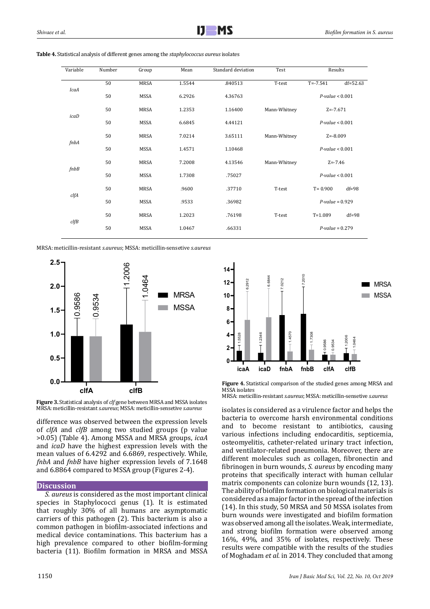| Variable    | Number | Group       | Mean   | Standard deviation | Test         | Results              |              |
|-------------|--------|-------------|--------|--------------------|--------------|----------------------|--------------|
|             | 50     | <b>MRSA</b> | 1.5544 | .840513            | T-test       | $T = -7.541$         | $df = 52.63$ |
| IcaA        | 50     | MSSA        | 6.2926 | 4.36763            |              | $P$ -value < $0.001$ |              |
| icaD        | 50     | <b>MRSA</b> | 1.2353 | 1.16400            | Mann-Whitney | $Z = -7.671$         |              |
|             | 50     | MSSA        | 6.6845 | 4.44121            |              | $P$ -value < $0.001$ |              |
| fnbA        | 50     | MRSA        | 7.0214 | 3.65111            | Mann-Whitney | $Z = -8.009$         |              |
|             | 50     | MSSA        | 1.4571 | 1.10468            |              | $P$ -value < $0.001$ |              |
| $f$ n $b$ B | 50     | MRSA        | 7.2008 | 4.13546            | Mann-Whitney | $Z = -7.46$          |              |
|             | 50     | MSSA        | 1.7308 | .75027             |              | $P$ -value < $0.001$ |              |
| clfA        | 50     | <b>MRSA</b> | .9600  | .37710             | T-test       | $T = 0.900$          | $df=98$      |
|             | 50     | MSSA        | .9533  | .36982             |              | $P-value = 0.929$    |              |
| clfB        | 50     | MRSA        | 1.2023 | .76198             | T-test       | $T = 1.089$          | $df=98$      |
|             | 50     | MSSA        | 1.0467 | .66331             |              | $P$ -value = 0.279   |              |
|             |        |             |        |                    |              |                      |              |

| <b>Table 4.</b> Statistical analysis of different genes among the <i>staphylococcus aureus</i> isolates |  |
|---------------------------------------------------------------------------------------------------------|--|
|---------------------------------------------------------------------------------------------------------|--|

MRSA: meticillin-resistant *s.aureus*; MSSA: meticillin-sensetive *s.aureus*





difference was observed between the expression levels of *clfA* and *clfB* among two studied groups (p value >0.05) (Table 4). Among MSSA and MRSA groups, *icaA* and *icaD* have the highest expression levels with the mean values of 6.4292 and 6.6869, respectively. While, *fnbA* and *fnbB* have higher expression levels of 7.1648 and 6.8864 compared to MSSA group (Figures 2-4).

#### **Discussion**

*S. aureus* is considered as the most important clinical species in Staphylococci genus (1). It is estimated that roughly 30% of all humans are asymptomatic carriers of this pathogen (2). This bacterium is also a common pathogen in biofilm-associated infections and medical device contaminations. This bacterium has a high prevalence compared to other biofilm-forming bacteria (11). Biofilm formation in MRSA and MSSA





MRSA: meticillin-resistant *s.aureus*; MSSA: meticillin-sensetive *s.aureus*

isolates is considered as a virulence factor and helps the bacteria to overcome harsh environmental conditions and to become resistant to antibiotics, causing various infections including endocarditis, septicemia, osteomyelitis, catheter-related urinary tract infection, and ventilator-related pneumonia. Moreover, there are different molecules such as collagen, fibronectin and fibrinogen in burn wounds, *S. aureus* by encoding many proteins that specifically interact with human cellular matrix components can colonize burn wounds (12, 13). The ability of biofilm formation on biological materials is considered as a major factor in the spread of the infection (14). In this study, 50 MRSA and 50 MSSA isolates from burn wounds were investigated and biofilm formation was observed among all the isolates. Weak, intermediate, and strong biofilm formation were observed among 16%, 49%, and 35% of isolates, respectively. These results were compatible with the results of the studies of Moghadam *et al.* in 2014. They concluded that among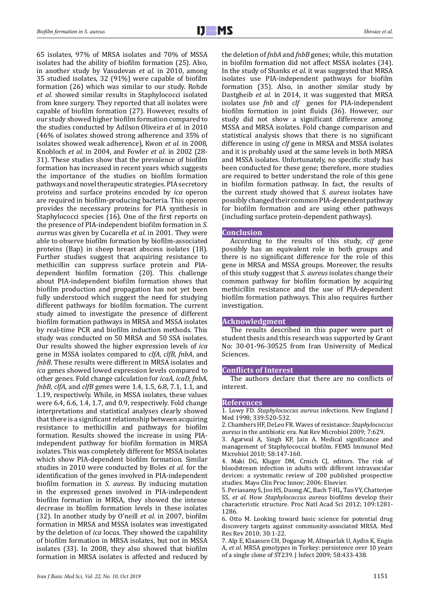65 isolates, 97% of MRSA isolates and 70% of MSSA isolates had the ability of biofilm formation (25). Also, in another study by Vasudevan *et al.* in 2010, among 35 studied isolates, 32 (91%) were capable of biofilm formation (26) which was similar to our study. Rohde *et al.* showed similar results in Staphylococci isolated from knee surgery. They reported that all isolates were capable of biofilm formation (27). However, results of our study showed higher biofilm formation compared to the studies conducted by Adilson Oliveira *et al.* in 2010 (46% of isolates showed strong adherence and 35% of isolates showed weak adherence), Kwon *et al.* in 2008, Knobloch *et al.* in 2004, and Fowler *et al.* in 2002 (28- 31). These studies show that the prevalence of biofilm formation has increased in recent years which suggests the importance of the studies on biofilm formation pathways and novel therapeutic strategies. PIA secretory proteins and surface proteins encoded by *ica* operon are required in biofilm-producing bacteria. This operon provides the necessary proteins for PIA synthesis in Staphylococci species (16). One of the first reports on the presence of PIA-independent biofilm formation in *S. aureus* was given by Cucarella *et al.* in 2001. They were able to observe biofilm formation by biofilm-associated proteins (Bap) in sheep breast abscess isolates (18). Further studies suggest that acquiring resistance to methicillin can suppress surface protein and PIAdependent biofilm formation (20). This challenge about PIA-independent biofilm formation shows that biofilm production and propagation has not yet been fully understood which suggest the need for studying different pathways for biofilm formation. The current study aimed to investigate the presence of different biofilm formation pathways in MRSA and MSSA isolates by real-time PCR and biofilm induction methods. This study was conducted on 50 MRSA and 50 SSA isolates. Our results showed the higher expression levels of *ica* gene in MSSA isolates compared to *clfA*, *clfB, fnbA*, and *fnbB*. These results were different in MRSA isolates and *ica* genes showed lowed expression levels compared to other genes. Fold change calculation for *icaA, icaD, fnbA, fnbB, clfA,* and *clfB* genes were 1.4, 1.5, 6.8, 7.1, 1.1, and 1.19, respectively. While, in MSSA isolates, these values were 6.4, 6.6, 1.4, 1.7, and 0.9, respectively. Fold change interpretations and statistical analyses clearly showed that there is a significant relationship between acquiring resistance to methicillin and pathways for biofilm formation. Results showed the increase in using PIAindependent pathway for biofilm formation in MRSA isolates. This was completely different for MSSA isolates which show PIA-dependent biofilm formation. Similar studies in 2010 were conducted by Boles *et al.* for the identification of the genes involved in PIA-independent biofilm formation in *S. aureus*. By inducing mutation in the expressed genes involved in PIA-independent biofilm formation in MRSA, they showed the intense decrease in biofilm formation levels in these isolates (32). In another study by O'neill *et al.* in 2007, biofilm formation in MRSA and MSSA isolates was investigated by the deletion of *ica* locus. They showed the capability of biofilm formation in MRSA isolates, but not in MSSA isolates (33). In 2008, they also showed that biofilm formation in MRSA isolates is affected and reduced by

the deletion of *fnbA* and *fnbB* genes; while, this mutation in biofilm formation did not affect MSSA isolates (34). In the study of Shanks *et al.* it was suggested that MRSA isolates use PIA-independent pathways for biofilm formation (35). Also, in another similar study by Dastgheib *et al.* in 2014, it was suggested that MRSA isolates use *fnb* and *clf* genes for PIA-independent biofilm formation in joint fluids (36). However, our study did not show a significant difference among MSSA and MRSA isolates. Fold change comparison and statistical analysis shows that there is no significant difference in using *clf* gene in MRSA and MSSA isolates and it is probably used at the same levels in both MRSA and MSSA isolates. Unfortunately, no specific study has been conducted for these gene; therefore, more studies are required to better understand the role of this gene in biofilm formation pathway. In fact, the results of the current study showed that *S. aureus* isolates have possibly changed their common PIA-dependent pathway for biofilm formation and are using other pathways (including surface protein-dependent pathways).

## **Conclusion**

According to the results of this study, *clf* gene possibly has an equivalent role in both groups and there is no significant difference for the role of this gene in MRSA and MSSA groups. Moreover, the results of this study suggest that *S. aureus* isolates change their common pathway for biofilm formation by acquiring methicillin resistance and the use of PIA-dependent biofilm formation pathways. This also requires further investigation.

## **Acknowledgment**

The results described in this paper were part of student thesis and this research was supported by Grant No: 30-01-96-30525 from Iran University of Medical Sciences.

## **Conflicts of Interest**

The authors declare that there are no conflicts of interest.

#### **References**

1. Lowy FD. *Staphylococcus aureus* infections. New England J Med 1998; 339:520-532.

2. Chambers HF, DeLeo FR. Waves of resistance: *Staphylococcus aureus* in the antibiotic era. Nat Rev Microbiol 2009; 7:629.

3. Agarwal A, Singh KP, Jain A. Medical significance and management of Staphylococcal biofilm. FEMS Immunol Med Microbiol 2010; 58:147-160.

4. Maki DG, Kluger DM, Crnich CJ, editors. The risk of bloodstream infection in adults with different intravascular devices: a systematic review of 200 published prospective studies. Mayo Clin Proc Innov; 2006: Elsevier.

5. Periasamy S, Joo HS, Duong AC, Bach T-HL, Tan VY, Chatterjee SS*, et al.* How *Staphylococcus aureus* biofilms develop their characteristic structure. Proc Natl Acad Sci 2012; 109:1281- 1286.

6. Otto M. Looking toward basic science for potential drug discovery targets against community-associated MRSA. Med Res Rev 2010; 30:1-22.

7. Alp E, Klaassen CH, Doganay M, Altoparlak U, Aydin K, Engin A*, et al.* MRSA genotypes in Turkey: persistence over 10 years of a single clone of ST239. J Infect 2009; 58:433-438.